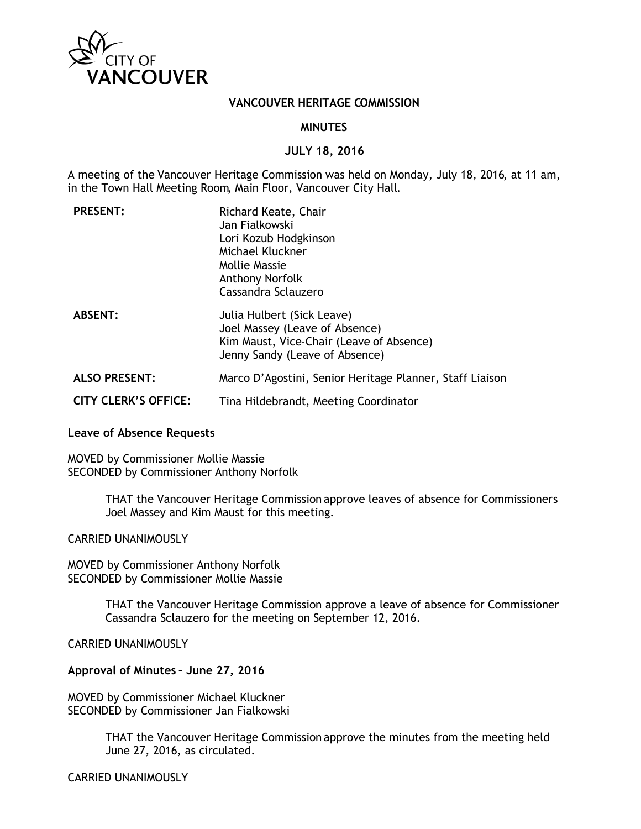

#### **VANCOUVER HERITAGE COMMISSION**

### **MINUTES**

#### **JULY 18, 2016**

A meeting of the Vancouver Heritage Commission was held on Monday, July 18, 2016, at 11 am, in the Town Hall Meeting Room, Main Floor, Vancouver City Hall.

| <b>PRESENT:</b>             | Richard Keate, Chair<br>Jan Fialkowski<br>Lori Kozub Hodgkinson<br>Michael Kluckner<br><b>Mollie Massie</b><br>Anthony Norfolk<br>Cassandra Sclauzero |
|-----------------------------|-------------------------------------------------------------------------------------------------------------------------------------------------------|
| <b>ABSENT:</b>              | Julia Hulbert (Sick Leave)<br>Joel Massey (Leave of Absence)<br>Kim Maust, Vice-Chair (Leave of Absence)<br>Jenny Sandy (Leave of Absence)            |
| <b>ALSO PRESENT:</b>        | Marco D'Agostini, Senior Heritage Planner, Staff Liaison                                                                                              |
| <b>CITY CLERK'S OFFICE:</b> | Tina Hildebrandt, Meeting Coordinator                                                                                                                 |

#### **Leave of Absence Requests**

MOVED by Commissioner Mollie Massie SECONDED by Commissioner Anthony Norfolk

> THAT the Vancouver Heritage Commission approve leaves of absence for Commissioners Joel Massey and Kim Maust for this meeting.

CARRIED UNANIMOUSLY

MOVED by Commissioner Anthony Norfolk SECONDED by Commissioner Mollie Massie

> THAT the Vancouver Heritage Commission approve a leave of absence for Commissioner Cassandra Sclauzero for the meeting on September 12, 2016.

CARRIED UNANIMOUSLY

### **Approval of Minutes – June 27, 2016**

MOVED by Commissioner Michael Kluckner SECONDED by Commissioner Jan Fialkowski

> THAT the Vancouver Heritage Commission approve the minutes from the meeting held June 27, 2016, as circulated.

CARRIED UNANIMOUSLY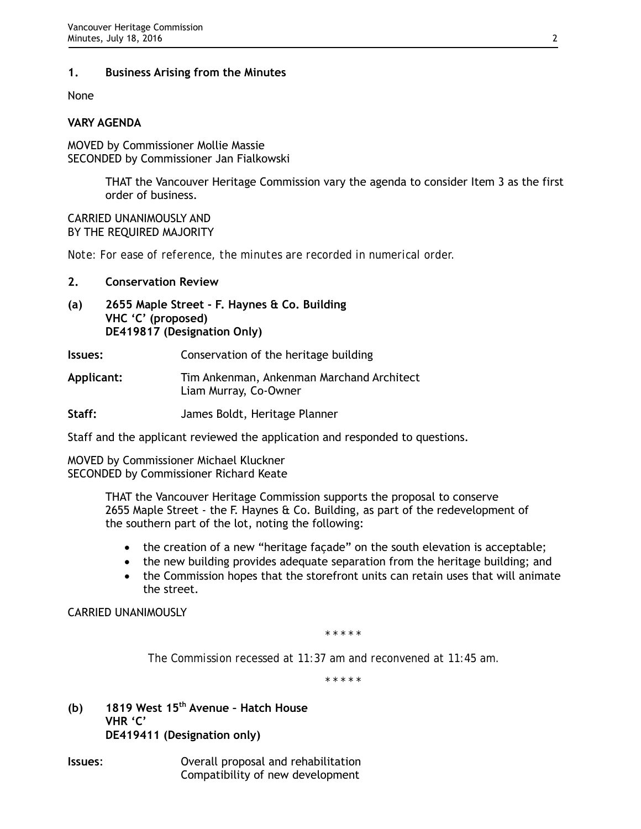# **1. Business Arising from the Minutes**

None

### **VARY AGENDA**

MOVED by Commissioner Mollie Massie SECONDED by Commissioner Jan Fialkowski

> THAT the Vancouver Heritage Commission vary the agenda to consider Item 3 as the first order of business.

CARRIED UNANIMOUSLY AND BY THE REQUIRED MAJORITY

*Note: For ease of reference, the minutes are recorded in numerical order.*

#### **2. Conservation Review**

- **(a) 2655 Maple Street F. Haynes & Co. Building VHC 'C' (proposed) DE419817 (Designation Only)**
- **Issues:** Conservation of the heritage building
- **Applicant:** Tim Ankenman, Ankenman Marchand Architect Liam Murray, Co-Owner
- **Staff:** James Boldt, Heritage Planner

Staff and the applicant reviewed the application and responded to questions.

MOVED by Commissioner Michael Kluckner SECONDED by Commissioner Richard Keate

> THAT the Vancouver Heritage Commission supports the proposal to conserve 2655 Maple Street - the F. Haynes & Co. Building, as part of the redevelopment of the southern part of the lot, noting the following:

- the creation of a new "heritage façade" on the south elevation is acceptable;
- the new building provides adequate separation from the heritage building; and
- the Commission hopes that the storefront units can retain uses that will animate the street.

CARRIED UNANIMOUSLY

*\* \* \* \* \**

*The Commission recessed at 11:37 am and reconvened at 11:45 am.*

*\* \* \* \* \**

- **(b) 1819 West 15th Avenue Hatch House VHR 'C' DE419411 (Designation only)**
- **Issues**: Overall proposal and rehabilitation Compatibility of new development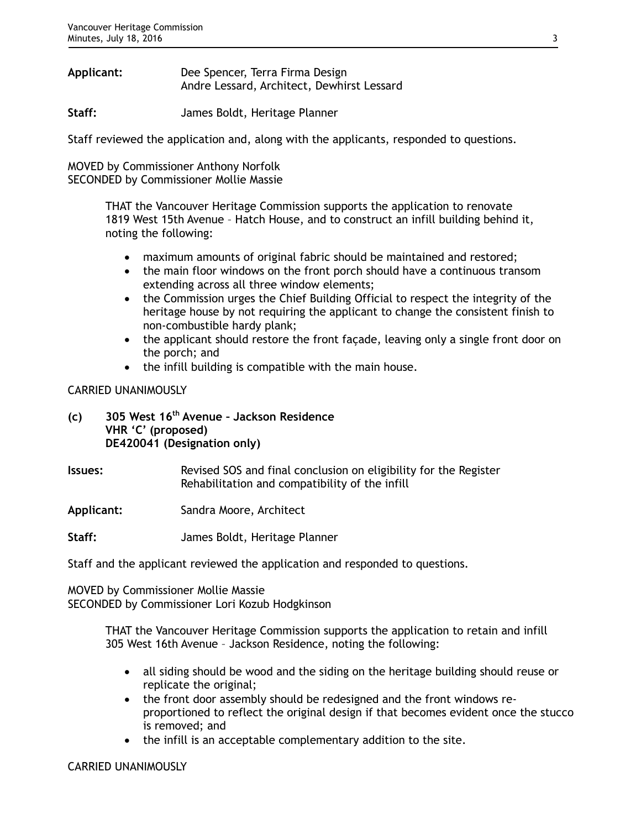**Applicant:** Dee Spencer, Terra Firma Design Andre Lessard, Architect, Dewhirst Lessard

**Staff:** James Boldt, Heritage Planner

Staff reviewed the application and, along with the applicants, responded to questions.

MOVED by Commissioner Anthony Norfolk SECONDED by Commissioner Mollie Massie

> THAT the Vancouver Heritage Commission supports the application to renovate 1819 West 15th Avenue – Hatch House, and to construct an infill building behind it, noting the following:

- maximum amounts of original fabric should be maintained and restored;
- the main floor windows on the front porch should have a continuous transom extending across all three window elements;
- the Commission urges the Chief Building Official to respect the integrity of the heritage house by not requiring the applicant to change the consistent finish to non-combustible hardy plank;
- the applicant should restore the front façade, leaving only a single front door on the porch; and
- the infill building is compatible with the main house.

CARRIED UNANIMOUSLY

**(c) 305 West 16th Avenue – Jackson Residence VHR 'C' (proposed) DE420041 (Designation only)**

**Issues:** Revised SOS and final conclusion on eligibility for the Register Rehabilitation and compatibility of the infill

**Applicant:** Sandra Moore, Architect

**Staff:** James Boldt, Heritage Planner

Staff and the applicant reviewed the application and responded to questions.

MOVED by Commissioner Mollie Massie SECONDED by Commissioner Lori Kozub Hodgkinson

> THAT the Vancouver Heritage Commission supports the application to retain and infill 305 West 16th Avenue – Jackson Residence, noting the following:

- all siding should be wood and the siding on the heritage building should reuse or replicate the original;
- the front door assembly should be redesigned and the front windows reproportioned to reflect the original design if that becomes evident once the stucco is removed; and
- the infill is an acceptable complementary addition to the site.

### CARRIED UNANIMOUSLY